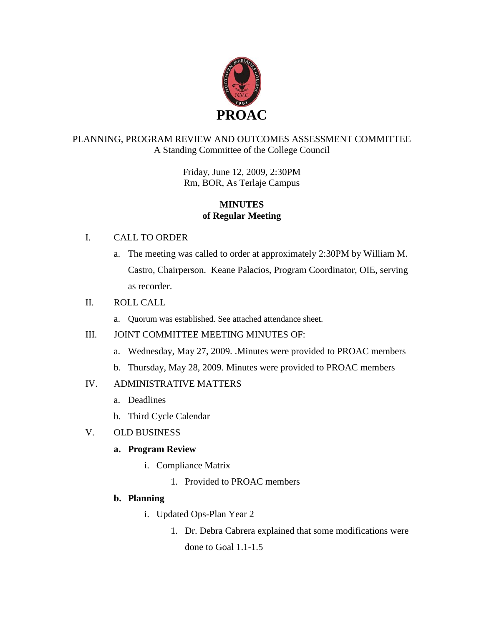

# PLANNING, PROGRAM REVIEW AND OUTCOMES ASSESSMENT COMMITTEE A Standing Committee of the College Council

Friday, June 12, 2009, 2:30PM Rm, BOR, As Terlaje Campus

### **MINUTES of Regular Meeting**

### I. CALL TO ORDER

a. The meeting was called to order at approximately 2:30PM by William M. Castro, Chairperson. Keane Palacios, Program Coordinator, OIE, serving as recorder.

### II. ROLL CALL

a. Quorum was established. See attached attendance sheet.

# III. JOINT COMMITTEE MEETING MINUTES OF:

- a. Wednesday, May 27, 2009. .Minutes were provided to PROAC members
- b. Thursday, May 28, 2009. Minutes were provided to PROAC members

# IV. ADMINISTRATIVE MATTERS

- a. Deadlines
- b. Third Cycle Calendar

# V. OLD BUSINESS

# **a. Program Review**

- i. Compliance Matrix
	- 1. Provided to PROAC members

# **b. Planning**

- i. Updated Ops-Plan Year 2
	- 1. Dr. Debra Cabrera explained that some modifications were done to Goal 1.1-1.5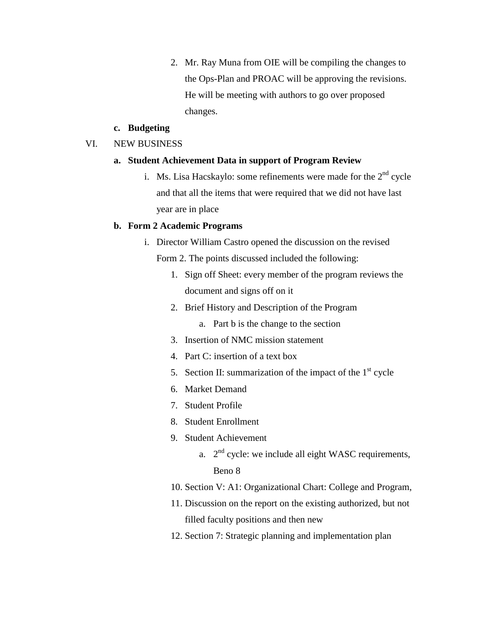2. Mr. Ray Muna from OIE will be compiling the changes to the Ops-Plan and PROAC will be approving the revisions. He will be meeting with authors to go over proposed changes.

#### **c. Budgeting**

#### VI. NEW BUSINESS

#### **a. Student Achievement Data in support of Program Review**

i. Ms. Lisa Hacskaylo: some refinements were made for the  $2<sup>nd</sup>$  cycle and that all the items that were required that we did not have last year are in place

#### **b. Form 2 Academic Programs**

- i. Director William Castro opened the discussion on the revised Form 2. The points discussed included the following:
	- 1. Sign off Sheet: every member of the program reviews the document and signs off on it
	- 2. Brief History and Description of the Program
		- a. Part b is the change to the section
	- 3. Insertion of NMC mission statement
	- 4. Part C: insertion of a text box
	- 5. Section II: summarization of the impact of the  $1<sup>st</sup>$  cycle
	- 6. Market Demand
	- 7. Student Profile
	- 8. Student Enrollment
	- 9. Student Achievement
		- a.  $2<sup>nd</sup>$  cycle: we include all eight WASC requirements, Beno 8
	- 10. Section V: A1: Organizational Chart: College and Program,
	- 11. Discussion on the report on the existing authorized, but not filled faculty positions and then new
	- 12. Section 7: Strategic planning and implementation plan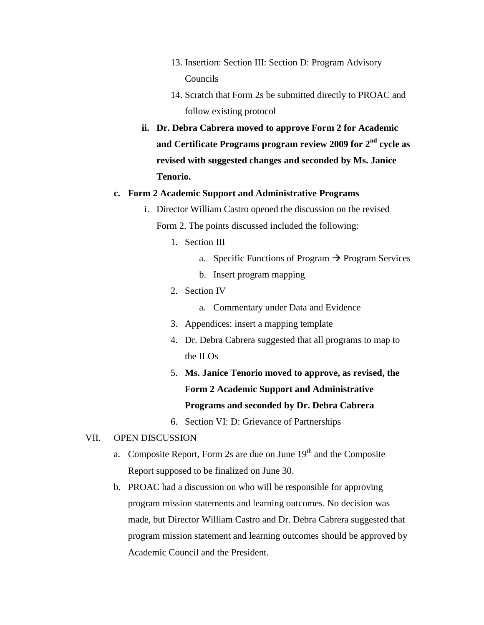- 13. Insertion: Section III: Section D: Program Advisory Councils
- 14. Scratch that Form 2s be submitted directly to PROAC and follow existing protocol
- **ii. Dr. Debra Cabrera moved to approve Form 2 for Academic and Certificate Programs program review 2009 for 2nd cycle as revised with suggested changes and seconded by Ms. Janice Tenorio.**

#### **c. Form 2 Academic Support and Administrative Programs**

- i. Director William Castro opened the discussion on the revised Form 2. The points discussed included the following:
	- 1. Section III
		- a. Specific Functions of Program  $\rightarrow$  Program Services
		- b. Insert program mapping
	- 2. Section IV
		- a. Commentary under Data and Evidence
	- 3. Appendices: insert a mapping template
	- 4. Dr. Debra Cabrera suggested that all programs to map to the ILOs
	- 5. **Ms. Janice Tenorio moved to approve, as revised, the Form 2 Academic Support and Administrative Programs and seconded by Dr. Debra Cabrera**
	- 6. Section VI: D: Grievance of Partnerships

#### VII. OPEN DISCUSSION

- a. Composite Report, Form 2s are due on June  $19<sup>th</sup>$  and the Composite Report supposed to be finalized on June 30.
- b. PROAC had a discussion on who will be responsible for approving program mission statements and learning outcomes. No decision was made, but Director William Castro and Dr. Debra Cabrera suggested that program mission statement and learning outcomes should be approved by Academic Council and the President.